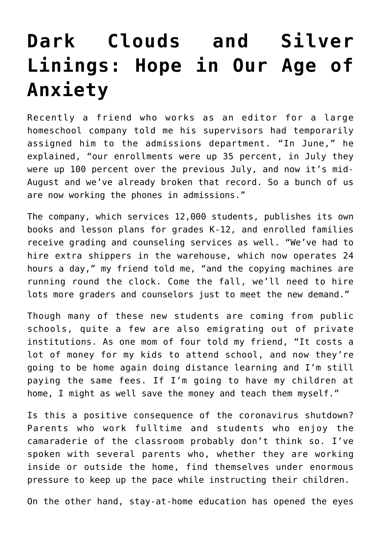## **[Dark Clouds and Silver](https://intellectualtakeout.org/2020/08/dark-clouds-and-silver-linings-hope-in-our-age-of-anxiety/) [Linings: Hope in Our Age of](https://intellectualtakeout.org/2020/08/dark-clouds-and-silver-linings-hope-in-our-age-of-anxiety/) [Anxiety](https://intellectualtakeout.org/2020/08/dark-clouds-and-silver-linings-hope-in-our-age-of-anxiety/)**

Recently a friend who works as an editor for a large homeschool company told me his supervisors had temporarily assigned him to the admissions department. "In June," he explained, "our enrollments were up 35 percent, in July they were up 100 percent over the previous July, and now it's mid-August and we've already broken that record. So a bunch of us are now working the phones in admissions."

The company, which services 12,000 students, publishes its own books and lesson plans for grades K-12, and enrolled families receive grading and counseling services as well. "We've had to hire extra shippers in the warehouse, which now operates 24 hours a day," my friend told me, "and the copying machines are running round the clock. Come the fall, we'll need to hire lots more graders and counselors just to meet the new demand."

Though many of these new students are coming from public schools, quite a few are also emigrating out of private institutions. As one mom of four told my friend, "It costs a lot of money for my kids to attend school, and now they're going to be home again doing distance learning and I'm still paying the same fees. If I'm going to have my children at home, I might as well save the money and teach them myself."

Is this a positive consequence of the coronavirus shutdown? Parents who work fulltime and students who enjoy the camaraderie of the classroom probably don't think so. I've spoken with several parents who, whether they are working inside or outside the home, find themselves under enormous pressure to keep up the pace while instructing their children.

On the other hand, stay-at-home education has opened the eyes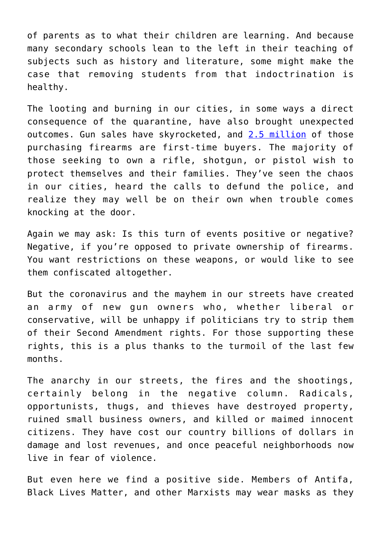of parents as to what their children are learning. And because many secondary schools lean to the left in their teaching of subjects such as history and literature, some might make the case that removing students from that indoctrination is healthy.

The looting and burning in our cities, in some ways a direct consequence of the quarantine, have also brought unexpected outcomes. Gun sales have skyrocketed, and [2.5 million](https://www.foxnews.com/us/first-time-gun-owners-safety-protection) of those purchasing firearms are first-time buyers. The majority of those seeking to own a rifle, shotgun, or pistol wish to protect themselves and their families. They've seen the chaos in our cities, heard the calls to defund the police, and realize they may well be on their own when trouble comes knocking at the door.

Again we may ask: Is this turn of events positive or negative? Negative, if you're opposed to private ownership of firearms. You want restrictions on these weapons, or would like to see them confiscated altogether.

But the coronavirus and the mayhem in our streets have created an army of new gun owners who, whether liberal or conservative, will be unhappy if politicians try to strip them of their Second Amendment rights. For those supporting these rights, this is a plus thanks to the turmoil of the last few months.

The anarchy in our streets, the fires and the shootings, certainly belong in the negative column. Radicals, opportunists, thugs, and thieves have destroyed property, ruined small business owners, and killed or maimed innocent citizens. They have cost our country billions of dollars in damage and lost revenues, and once peaceful neighborhoods now live in fear of violence.

But even here we find a positive side. Members of Antifa, Black Lives Matter, and other Marxists may wear masks as they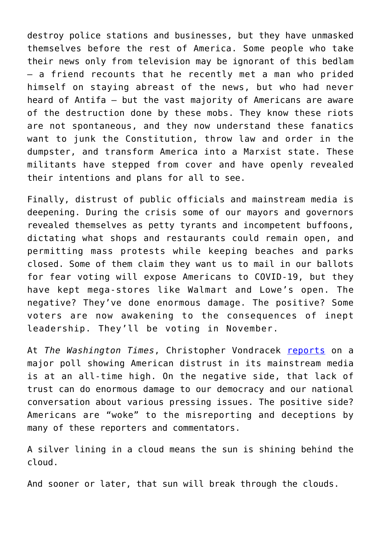destroy police stations and businesses, but they have unmasked themselves before the rest of America. Some people who take their news only from television may be ignorant of this bedlam – a friend recounts that he recently met a man who prided himself on staying abreast of the news, but who had never heard of Antifa – but the vast majority of Americans are aware of the destruction done by these mobs. They know these riots are not spontaneous, and they now understand these fanatics want to junk the Constitution, throw law and order in the dumpster, and transform America into a Marxist state. These militants have stepped from cover and have openly revealed their intentions and plans for all to see.

Finally, distrust of public officials and mainstream media is deepening. During the crisis some of our mayors and governors revealed themselves as petty tyrants and incompetent buffoons, dictating what shops and restaurants could remain open, and permitting mass protests while keeping beaches and parks closed. Some of them claim they want us to mail in our ballots for fear voting will expose Americans to COVID-19, but they have kept mega-stores like Walmart and Lowe's open. The negative? They've done enormous damage. The positive? Some voters are now awakening to the consequences of inept leadership. They'll be voting in November.

At *The Washington Times*, Christopher Vondracek [reports](https://www.washingtontimes.com/news/2020/aug/4/americans-distrust-in-media-at-alarming-levels-pol/) on a major poll showing American distrust in its mainstream media is at an all-time high. On the negative side, that lack of trust can do enormous damage to our democracy and our national conversation about various pressing issues. The positive side? Americans are "woke" to the misreporting and deceptions by many of these reporters and commentators.

A silver lining in a cloud means the sun is shining behind the cloud.

And sooner or later, that sun will break through the clouds.